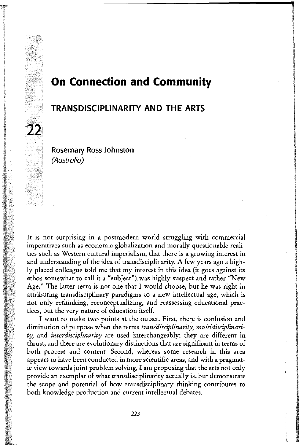# **On Connection and Community**

*<u><i><u>SUSTEMENTS</u>*</u>

sisio. **IN ANTI-DESCRIPTION** 

I

I **urant** 

# TRANSDISCIPLINARITY AND THE ARTS

Rosemary Ross Johnston *(Australia)* 

22

It is not surprising in a postmodern world struggling with commercial imperatives such as economic globalization and morally questionable realities such as Western cultural imperialism, that there is a growing interest in and understanding of the idea of transdisciplinarity. A few years ago a highly placed colleague told me that my interest in this idea (it goes against its ethos somewhat to call it a "subject") was highly suspect and rather "New Age." The latter term is not one that I would choose, but he was right in attributing transdisciplinary paradigms to a new intellectual age, which is not only rethinking, reconceptualizing, and reassessing educational practices, but the very nature of education itself.

I want to make two points at the outset. First, there is confusion and diminution of purpose when the terms *transdisciplinarity, multidisciplinarity,* and *interdisciplinarity* are used interchangeably: they are different in thrust, and there are evolutionary distinctions that are significant in terms of both process and content. Second, whereas some research in this area appears to have been conducted in more scientific areas, and with a pragmatic view towards joint problem solving, I am proposing that the arts not only provide an exemplar of what transdisciplinarity actually is, but demonstrate the scope and potential of how transdisciplinary thinking contributes to both knowledge production and current intellectual debates.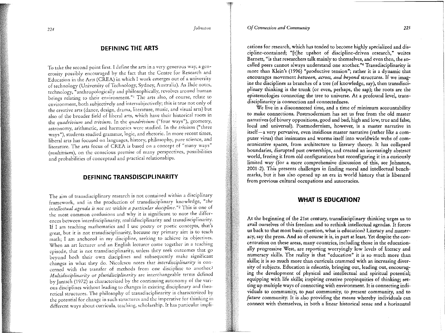*Of Connection and Community 225* 

*<sup>224</sup>johnston* 

#### DEFINING THE ARTS

To take the second point first. I define the arts in a very generous way, a generosity possibly encouraged by the fact that the Centre for Research and Education in the Arts (CREA) in which I work emerges our of a university of technology (University of Technology, Sydney, Australia). As Ihde notes, technology, "anthropologically and philosophically, revolves around human beings relating to their environment."! The arts also, of course, relate to environment, both subjectively and intersubjecrivcly; this is true not only of the creative arts (dance, design, drama, literature, music, and visual arts) but also of the broader field of liberal arts, which have their historical roots in the *quadrivium* and *trivium.* In the *quadrivium* ("four ways"), geometry, astronomy, arithmetic, and harmonics were studied. In the *trivium* ("three ways"), students studied grammar, logic, and rhetoric. In more recent times, liberal arts has focused on languages, history, philosophy, pure science, and literature. The arts focus of CREA is based on a concept of "many ways" *(multivium),* on the conscious premise of many perspectives, possibilities and probabilities of conceptual and practical relationships.

#### DEFINING TRANSDISCIPLINARITY

The aim of transdisciplinary research is not contained within a disciplinary framework, and in the production of transdisciplinary knowledge, *"the intellectual agenda is not set within a particular discipline."2* This is one of the most common confusions and why it is significant to note the differences between interdisciplinarity, multidisciplinarity and transdisciplinarity. If I am teaching mathematics and I usc poetry or poetic concepts, that's great, bur it is not transdisciplinarity, because my primary aim is to teach math; I am anchored in my discipline, seeking to achieve its objectives. When an art lecturer and an English lecturer come together in a teaching episode, that is not transdisciplinarity, unless they seek outcomes that go beyond both their own disciplines and subsequently make significant changes in what they do. Nicolescu notes that *interdisciplinarity* is concerned with the transfer of methods from one discipline to another.<sup>3</sup> *Mu!tidisciplinarity* or *pluridisciplinarity* arc interchangeable terms defined by Jantsch (1972) as characterized by the continuing autonomy of the various disciplines without leading to changes in existing disciplinary and theoretical structures. The philosophy of transdisciplinarity is characterized by the potential for change in such structures and the imperative for thinking in different ways about curricula, teaching, scholarship. It has particular impli-

cations for research, which has tended to become highly specialized and discipline-contained; "[t]he upshot of discipline-driven research," writes Barnett, "is that researchers talk mainly to themselves, and even then, the socalled peers cannot always understand one another. "4 Transdisciplinarity is more than Klein's (1996) "productive tension"; rather it is a dynamic that encourages movement *between, across, and beyond* structures. If we imagine the disciplines as branches of a tree (of knowledge, say), then transdisciplinary thinking is the trunk (or even, perhaps, the sap); the roots are the epistemologies connecting the tree to universe. At a profound level, transdisciplinarity is connection and connectedness.

We live in a disconnected time, and a time of minimum accountability to make connections. Postmodernism has set us free from the old master narratives (of binary oppositions, good and bad, high and low, true and false, local and universal). Postmodernism, however, is a master narrative in itself-a very pervasive, even insidious master narrative (rather like a computer virus) that insinuates and worms itself into worldwide webs of communicative spaces, from architecture to literary theory. It has collapsed boundaries, disrupted past ownerships, and created an increasingly abstract world, freeing it from old configurations but reconfiguring it in a curiously limited way (for a more comprehensive discussion of this, see Johnston, 2001-2). This presents challenges in finding moral and intellectual benchmarks, but it has also opened up an era in world history that is liberated from previous cultural occupations and autocracies.

### WHAT IS EDUCATION?

At the beginning of the 21st century, transdisciplinary thinking urges us to avail ourselves of this freedom and to rethink intellectual agendas. It forces us back to that most basic question, what is education? Literacy and numeracy, say the press. And so of course it is, in part at least. Yet despite the concentration on these areas, many countries, including those in the educationally progressive West, are reporting worryingly low levels of literacy and numeracy skills. The reality is that "education" it is so much more than skills; it is so much more than curricula crammed with an increasing diversity of subjects. Education is *educatio,* bringing out, leading out, encouraging the development of physical and intellectual and spiritual potential; equipping with life skills; inspiring creative propinquities of thinking; setting up multiple ways of connecting with environment. It is connecting individuals to commumty, to *past* community, to *present* community, and to *future* community. It is also providing the means whereby individuals can connect with themselves, in both a linear historical sense and a horizontal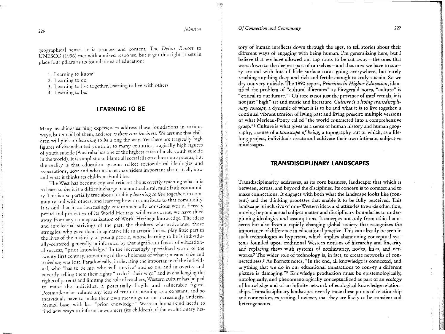# *<sup>226</sup>johnston*

geographical sense. It is process and content. The *Delors Report* to UNESCO (1996) met with a mixed response, but it got this right: it sets in place four pillars as its foundations of education:

1. Learning to know

2. Learning to do

3. Learning to live together, learning to live with others

4. Learning to be.

#### LEARNING TO BE

Many teaching/learning experiences address these foundations in various ways, but not all of them, and *not as their core business*. We assume that children will pick up *learning to be* along the way. Yet there are tragically high figures of disenchanted youth in so many countries, tragically high figures of youth suicide (Australia has one of the highest rates of male youth suicide in the world). It is simplistic to blame all social ills on education systems, but the reality is that education systems reflect sociocultural ideologies and expectations, how and what a society considers important about itself, how and what it thinks its children should be.

The West has become coy and reticent about overtly teaching what it is to learn to *be;* it is a difficult charge in a multicultural, multifaith community. This is also partially true about teaching *learning to live together,* in community and with others, and learning how to contribute to that community. It is odd that in an increasingly environmentally conscious world, fiercely proud and protective of its World Heritage wilderness areas, we have shied away from any conceptualization of World Heritage knowledge. The ideas and intellectual strivings of the past, the thinkers who articulated those struggles, who gave them imaginative life in artistic forms, play little part in the lives of the majority of young people, whose learning to be is individually-centered, generally uninformed by that significant factor of educational success, "prior knowledge." In the increasingly specialized world of the twenty first century, something of the wholeness of what it means to be and to *belong* was lost. Paradoxically, in elevating the importance of the individual, who "has to be me, who will survive" and so on, and in overtly and covertly selling them their rights "to do it their way," and in challenging the rights of parents and limiting the role of teachers, Western culture has helped to make the individual a potentially fragile and vulnerable figure. Postmodernism refutes any idea of truth or meaning as a constant, and so individuals have to make their own meanings on an increasingly underinformed base, with less "prior knowledge." Western humankind needs to find new ways to inform newcomers (its children) of the evolutionary his-

#### *Of Connection and Community* 227

tory of human intellects down through the ages, to tell stories about their different ways of engaging with being human. I'm generalizing here, but I believe that we have allowed our tap roots to be cut away-the ones that went down to the deepest part of ourselves-and that now we have to scurry around with lots of little surface roots going everywhere, but rarely reaching anything deep and rich and fertile enough to truly sustain. So we dry out very quickly. The 1990 report, *Priorities in Higher Education,* identified the problem of "cultural illiterates" as Fitzgerald notes, "culture" is "critical to our future."S Culture is not just the province of intellectuals, it is not just "high" art and music and literature. *Culture is a living transdisciplinary concept,* a dynamic of what it is to be and what it is to live together, a

continual vibrant tension of living past and living present: multiple versions of what Merleau-Ponty called "the world contracted into a comprehensive grasp. "6 Culture is what gives us a sense of human history and human geography, a sense of a *landscape of being,* a topography out of which, as a lifelong project, individuals create and cultivate their own intimate, subjective mindscapes.

## TRANSDISCIPLINARY LANDSCAPES

Transdisciplinarity addresses, as its core business, landscape: that which is between, across, and beyond the disciplines. Its concern is to connect and to make connections. It engages with both what the landscape looks like (content) and the thinking processes that enable it to be fully perceived. This landscape is inclusive of non-Western ideas and attitudes towards education, moving beyond actual subject matter and disciplinary boundaries to underpinning ideologies and assumptions. It emerges not only from ethical concerns but also from a rapidly changing global society that recognizes the importance of difference in educational practice. This can already be seen in such technologies as hypertext, which implies abandoning conceptual systems founded upon traditional Western notions of hierarchy and linearity and replacing them with systems of nonlinearity, nodes, links, and networks? The wider role of technology is, in fact, to create networks of connectedness.8 As Barnett notes, "In the end, all knowledge is connected, and anything that we do in our educational transactions to convey a different picture is damaging. "9 Knowledge production must be epistemologically, ontologically, and phenomenologically conceptualized as part of an *ecology*  of knowledge and of an infinite network of ecological knowledge relationships. Transdisciplinary landscapes overtly trace these points of relationship and connection, expecting, however, that they are likely to be transient and heterogeneous.

<u>INNINGRAMMANASANASAN</u>

<u>III viiteemisestinkiselmeetsiste</u>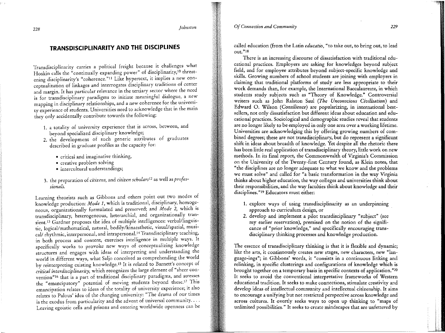*Of Connection and Community 229* 

# TRANSDISCIPLINARITY AND THE DISCIPLINES

Transdisciplinarity carries a political freight because it challenges what Hoskin calls the "continually expanding power" of disciplinarity,<sup>10</sup> threatening disciplinarity's "coherence."<sup>11</sup> Like hypertext, it implies a new conceptualization of linkages and interrogates disciplinary traditions of center and margin. It has particular relevance in the tertiary sector where the need is for transdisciplinary paradigms to initiate meaningful dialogue, a new mapping in disciplinary relationships, and a new coherence for the university experience of students. Universities need to acknowledge that in the main they only accidentally contribute towards the following:

- 1. a totality of university experience that is across, between, and beyond specialized disciplinary knowledge;
- 2. the development of such generic attributes of graduates described in graduate profiles as the capacity for:
	- critical and imaginative thinking,
	- creative problem solving
	- intercultural understandings;
- 3. the preparation of *citizens,* and *citizen scholars*12 as well as *professionals.*

Learning theorists such as Gibbons and others point out two modes of knowledge production: *Mode 1*, which is traditional, disciplinary, homogeneous, organizationally formulated and preserved; and *Mode* 2, whtch ts transdisciplinary, heterogeneous, heterarchial, and organizationally transient.<sup>13</sup> Gardner proposes the idea of multiple intelligences: verbal/linguistic, logical/mathematical, natural, bodily/kinaesthetic, visual/spatial, musical/ rhythmic, interpersonal, and intrapersonal.<sup>14</sup> Transdisciplinary teaching, in both process and content, exercises intelligence in multiple ways. It specifically works to provoke new ways of conceptualizing knowledge structures and engages with ideas of interpreting and understandmg the world in different ways, what Saljo conceived as comprehending the world by reinterpreting existing knowledge.<sup>15</sup> It is related to Barnett's concept of *critical interdisciplinarity,* which recognizes the large element of "sheer convention"<sup>16</sup> that is a part of traditional disciplinary paradigms, and stresses the "emancipatory" potential of moving students beyond these.<sup>17</sup> This emancipation relates to ideas of the totality of university experience; it also relates to Palous' idea of the changing university: "The drama of our tunes is the exodus from particularity and the advent of universal community.... Leaving egoistic cells and prisons and entering worldwide openness can be called education (from the Latin *educatio,* "to take out, to bring out, to lead out. "18

There is an increasing discourse of dissatisfaction with traditional educational practices. Employers are asking for knowledges beyond subject field, and for employee attributes beyond subject-specific knowledge and skills. Growing numbers of school students are joining with employers in claiming that traditional platforms of study are less appropriate to their work demands than, for example, the International Baccalaureate, in which students study subjects such as "Theory of Knowledge." Controversial writers such as John Ralston Saul *(The Unconscious Civilisation)* and Edward 0. Wilson *(Consilience)* are popularizing, in international bestsellers, not only dissatisfaction but different ideas about education and educational practices. Sociological and demographic studies reveal that students are no longer likely to be employed in only one area over a working lifetime. Universities are acknowledging this by offering growing numbers of combined degrees; these are not transdisciplinary, but do represent a significant shift in ideas about breadth of knowledge. Yet despite all the rhetoric there has been little real application of transdisciplinary theory, little work on new methods. In its final report, the Commonwealth of Virginia's Commission on the University of the Twenty-first Century found, as Klein notes, that "the disciplines are no longer adequate to what we know and the problems we must solve" and called for "a basic transformation in the way Virginia thinks about higher education, the way colleges and universities think about their responsibilities, and the way faculties think about knowledge and their disciplines."19 Educators must either:

- 1. explore ways of using transdisciplinarity as an underpinning approach to curriculum design, or
- 2. develop and implement a pilot transdisciplinary "subject" (see my earlier reservation), premised on the notion of the significance of "prior knowledge," and specifically encouraging transdisciplinary thinking processes and knowledge production.

The essence of transdisciplinary thinking is that it is flexible and dynamic; like the arts, it continuously creates new stages, new characters, new "language-ings"; in Gibbons' words, it "consists in a continuous linking and relinking, in specific clusterings and configurations of knowledge which is brought together on a temporary basis in specific contexts of application. "20 It seeks to avoid the conventional interpretative frameworks of Western educational tradition. It seeks to make connections, stimulate creativity and develop ideas of intellectual community and intellectual citizenship. It aims to encourage a unifying but not restricted perspective across knowledge and across cultures. It overtly seeks ways to open up thinking to "maps of unlimited possibilities." It seeks to create mindscapes that are unfettered by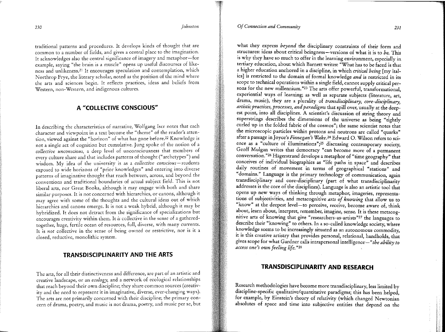*230 johnston* 

traditional patterns and procedures. It develops kinds of thought that are common to a number of fields, and gives a central place to the imagination. It acknowledges also the central significance of imagery and metaphor-for example, saying "the brain is a muscle" opens up useful discourses of likeness and unlikeness.21 It encourages speculation and contemplation, which Northrop Frye, the literary scholar, noted as the position of the mind where the arts and sciences begin. It reflects practices, ideas and beliefs from Western, non-Western, and indigenous cultures.

# A "COLLECTIVE CONSCIOUS"

In describing the characteristics of narrative, Wolfgang Iscr notes that each character and viewpoint in a text become the "theme" of the reader's attention, viewed against the "horizon" of what has gone before.22 Knowledge is not a single act of cognition but cumulative. Jung spoke of the notion of a *collective unconscious,* a deep level of unconsciousness that members of every culture share and that includes patterns of thought ("archetypes") and wisdom. My idea of the university is as a *collective conscious-students*  exposed to wide horizons of "prior knowledges" and entering into diverse patterns of imaginative thought that reach between, across, and beyond the conventions and traditional boundaries of actual subject field. This is not liberal arts, nor Great Books, although it may engage with both and share similar purposes. It is not concerned with hierarchies, or canons, although it may agree with some of the thoughts and the cultural ideas out of which hierarchies and canons emerge. It is not a weak hybrid, although it may be hybridized. It does not detract from the significance of specializations but encourages creativity within them. It *is* collective in the sense of a gatheredtogether, huge, fertile ocean of resources, full, diverse, with many currents. It is *not* collective in the sense of being owned or restrictive, nor is it a closed, reductive, monolithic system.

### TRANSDISCIPLINARITY AND THE ARTS

The arts, for all their distinctiveness and difference, are part of an artistic and creative landscape, or an *ecology,* and a network of ecological relationships that reach beyond their own discipline; they share common sources (creativity and the need to represent it in imaginative, diverse, ever-changing ways). The arts are not primarily concerned with their discipline; the primary concern of drama, poetry, and music is not drama, poetry, and music per se, but

#### *Of Connection and Community 231*

*access one's own feeling life.* "28 ,,

what they express *beyond* the disciplinary constraints of their form and structures: ideas about critical beingness-versions of what it is to *be.* This is why they have so much to offer in the learning environment, especially in tertiary education, about which Barnett writes: "What has to be faced is that a higher education anchored in a discipline, in which *critical being* [my italics] is restricted to the domain of formal knowledge *and* is restricted in its scope to technical operations within a single field, cannot supply critical persons for the new millennium."<sup>23</sup> The arts offer powerful, transformational, experiential ways of learning; as well as separate subjects (literature, art, drama, music), they are a plurality of *transdisciplinary, core-disciplinary,*  artistic practices, processes, and paradigms that spill over, usually at the deepest point, into all disciplines. A scientist's discussion of string theory and superstrings describes the dimensions of the universe as being "tightly curled up in the folded fabric of the cosmos"; the same scientist notes that the microscopic particles within protons and neutrons are called "quarks" after a passage in Joyce's *Finnegan's Wake*.<sup>24</sup> Edward O. Wilson refers to science as a "culture of illuminations";<sup>25</sup> discussing contemporary society, Geoff Mulgan wntes that democracy "can become more of a permanent conversation."26 Hagerstrand develops a metaphor of "time geography" that conceives of individual biographies as "life paths in space" and describes daily routines of movement in terms of geographical "stations" and "domains." Language is the primary technology of communication, again transdisciplinary and core-disciplinary (part of what transdisciplinarity addresses is the core of the disciplines). Language is also an artistic tool that opens up new ways of thinking through metaphor, imageries, representations of subjectivities, and metacognitive arts of knowing that allow us to "know" at the deepest level-to perceive, receive, become aware of, think about, learn about, interpret, remember, imagine, sense. It is these metacognitive arts of knowing that give "researchers-as-artists"<sup>27</sup> the languages to describe their "knowing" to others. In a so-called knowledge society, where knowledge seems to be increasingly situated as an autonomous commodity, it is this creative artistry that provides personal, relational, handholds, that

#### TRANSDISCIPLINARITY AND RESEARCH

gives scope for what Gardner calls intra personal intelligence-*"the abifity to* 

Research methodologies have become more transdisciplinary, less limited by discipline-specific qualitative/quantitative paradigms; this has been helped, for example, by Einstein's theory of relativity (which changed Newtonian absolutes of space and time into subjective entities that depend on the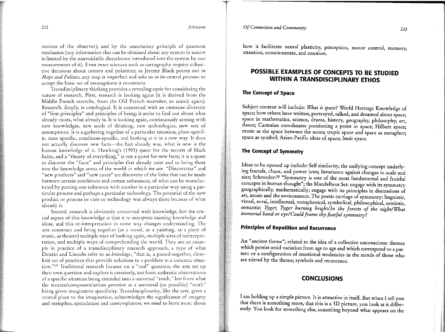*Of Connection and Community 233* 

*232 johnston* 

motion of the observer); and by the uncertainty principle of quantum mechanics (any information that can be obtained about any system in nature is limited by the unavoidable disturbance introduced into the system by our measurement of it). Even exact sciences such as cartography require subjective decisions about centers and polarities; as Jeremy Black points out in *Maps and Politics,* any map is imperfect and asks us as its central premise to accept the basic set of assumptions it constructs.

Transdisciplinary thinking provides a revealing optic for considering the nature of research. First, research is looking again (it is derived from the Middle French *recerche,* from the Old French *recercher,* to search again). Research, deeply, is ontological. It is concerned with an immense diversity of "first principles" and principles of being; it seeks to find out about what already exists, what already is. It is looking again, continuously arming with new knowledges, new tools of thinking, new technologies, new sets of assumptions. It is a gathering together of a particular situation, place-specific, time-specific, condition-specific, and looking at it in a new way. It docs not actually discover new facts-the fact already was, what is new is the human knowledge of it. Hawking's (1993) quest for the secrets of black holes, and a "theory of everything," is not a quest for new facts; it is a quest to discover the "facts" and principles that already exist and to bring these into the knowledge arena of the world in which we *are.* "Discoveries" and "new products" and "new cures" arc discovery of the links that can be made between certain conditions and certain substances, of what can be manufactured by putting one substance with another in a particular way using a particular process and perhaps a particular technology. The potential of the new product or process or cure or technology was always there because of what already *is.* 

Second, research is obviously concerned with knowledge, but the crucial aspect of this knowledge is that it *re-interprets* existing knowledge and ideas, and this re-interpretation in some way changes understanding. The arts construct and bring together (as a novel, as a painting, as a piece of music, as theatre) multiple sites of looking again, multiple sites of reinterpretation, and multiple ways of comprehending the world. They are an example in practice of a transdisciplinary research approach, a type of what Dcnzin and Lincoln refer to as *bricolage,* "that is, a pieced-together, closeknit set of practices that provide solutions to a problem in a concrete situation."29 Traditional research focuses on a "real" question; the arts set up their own question and explore it creatively, not from authentic observations of a specific situation being extended into a universal "truth," but from what the writers/composers/artists perceive as a universal (or possible) "truth" being given imaginative specificity. Transdisciplinarity, like the arts, gives a central place to the imagination, acknowledges the significance of imagery and metaphor, speculation and contemplation; we need to learn more about how it facilitates neural plasticity, perception, motor control, memory, attention, consciousness, and emotion.

# POSSIBLE EXAMPLES OF CONCEPTS TO BE STUDIED WITHIN A TRANSDISCIPLINARY ETHOS

# The Concept of Space

Subject content will include: *What is space?* World Heritage Knowledge of space; how others have written, portrayed, talked, and dreamed about space; space in mathematics, science, drama, history, geography, philosophy, art, dance; Cartesian coordinates positioning a point in space; Hilbert space; music as the space between the notes; tropic space and space as metaphor; space as symbol; Asian-Pacific ideas of space; Inuit space.

# The Concept of Symmetry

Ideas to be opened up include: Self similarity, the unifying concept underlymg fractals, chaos, and power laws; Invariance against changes in scale and size; Schroeder:<sup>30</sup> "Symmetry is one of the most fundamental and fruitful concepts in human thought"; the Mandelbrot Set: engage with its symmetry geographically, mathematically; engage with its principles in discussions of art, music and the environment. The poetic carriage of symmetry: linguistic, visual, aural, intellectual, metaphorical, symbolical, philosophical, semiotic, semantic: *Tyger, Tyger burning bright/In the forests of the night/What immortal hand or eye/Could frame thy fearful symmetry?* 

# Principles of Repetition and Recurrence

An "ancient theme"; related to the idea of a collective unconscious: themes which persist amid variation from age to age and which correspond to a pattern or a configuration of emotional tendencies in the minds of those who are stirred by the theme; symbols and recurrence.

## **CONCLUSIONS**

I am holding up a simple picture. It is attractive in itself. But when I tell you that there is something more, that this is a 3D picture, you look at it differently. You look for something else, something beyond what appears on the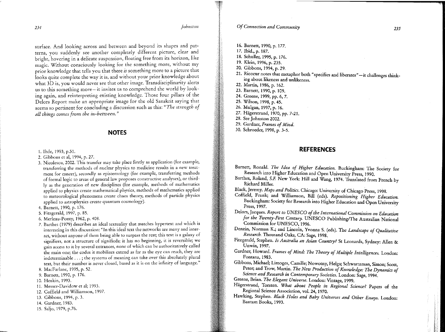*234 johnston* 

*Of Connection and Community 235* 

- 16. Barnett, 1990, p. 177.
- 17. Ibid., p. 187.

18. Schuller, 1995, p. 176.

- 19. Klein, 1996, p. 235.
- 20. Gibbons, 1994, p. 29.
- 21. Ricoeur notes that metaphor both "specifies and liberates"-it challenges thinking about likeness and unlikeness.
- 22. Martin, 1986, p. 162.

23. Barnett, 1990, p. 109.

- 24. Greene, 1999, pp. 6, 7.
- 25. Wilson, 1998, p. 45.
- 26. Mulgan, 1997, p. 16.
- 27. Hagerstrand, 1970, pp. 7-21.
- 28. See Johnston 2002.
- 29. Gardner, *Frames of Mind.*
- 30. Schroeder, 1998, p. 3-5.

#### **REFERENCES**

- Barnett, Ronald. The Idea of Higher Education. Buckingham: The Society for Research into Higher Education and Open University Press, 1990.
- Barthes, Roland, S.F New York: Hill and Wang, 1974. Translated from French by Richard Miller.
- Black, Jeremy. *Maps and Politics*. Chicago: University of Chicago Press, 1998.
- Coffield, Frank; and Williamson, Bill (eds). *Repositioning Higher Education.*  Buckingham: Society for Research into Higher Education and Open University Press, 1997.
- Delors, Jacques. *Report to UNESCO of the International Commission on Education for the Twenty-First Century.* UNESCO Publishing/The Australian National Commission for UNESCO, 1996.
- Denzin, Norman K.; and Lincoln, Yvonna S. (eds). The *Landscape of Qualitative*  . *Research.* Thousand Oaks, CA: Sage, 1998.
- Fitzgerald, Stephen. *Is Australia an Asian Country?* St Leonards, Sydney: Allen & Unwin, 1997.
- Gardner, Howard. *Frames of Mind: The Theory of Multiple Intelligences.* London: Fontana, 1983.
- Gibbons, Michael; Limoges, Camille; Nowotny, Helga; Schwartzman, Simon; Scott, Peter; and Trow, Martin. *The New Production of Knowledge: The Dynamics of* Science and Research in Contemporary Societies. London: Sage, 1994.

Greene, Brian. *The Elegant Universe*. London: Vintage, 1999.

- Hägerstrand, Torsten. *What about People in Regional Science?* Papers of the Regional Science Association, vol. 24, 1970.
- Hawking, Stephen. *Black Holes and Baby Universes and Other Essays.* London: Bantam Books, 1993.

surface. And looking across and between and beyond its shapes and patterns, you suddenly see another completely different picture, clear and bright, hovering in a delicate suspension, floating free from its horizon, like magic. Without consciously looking for the something more, without my prior knowledge that tells you that there *is* something more to a picture that looks quite complete the way it is, and without your prior knowledge about what 3D is, you would never see that other image. Transdisciplinarity alerts us to this something more-it invites us to comprehend the world by looking again, and reinterpreting existing knowledge. Those four pillars of the Delors Report make an appropriate image for the old Sanskrit saying that seems so pertinent for concluding a discussion such as this: *"The strength of all things comes from the in-between."* 

#### **NOTES**

- 1. Ihde, 1993, p.Sl.
- 2. Gibbons et a!, 1994, p. 27.
- 3. Nicolescu, 2002. This transfer may take place firstly as application (for example, transferring the methods of nuclear physics to medicine results in a new treatment for cancer), secondly as epistemology (for example, transferring methods of formal logic to areas of general law proposes constructive analyses), or thirdly as the generation of new disciplines (for example, methods of mathematics applied to physics create mathematical physics, methods of mathematics applied to meteorological phenomena create chaos theory, methods of panicle physics applied to astrophysics create quantum cosmology).
- 4. Barnett, 1990, p.176.
- 5. Fitzgerald, 1997, p. 85.
- 6. Merleau-Ponty, 1962, p. 408.
- 7. Barthes (1979) describes an ideal textuality that matches hypertext and which is interesting in this discussion: "In this ideal text the networks are many and interact, without anyone of them being able to surpass the rest; this text is a galaxy of signifiers, not a structure of significds; it has no beginning, it is reversible; we gain access to it by several entrances, none of which can be authoritatively ca\led the main one; the codes it mobilises extend as far as the eye can reach, they are indeterminable ... ; the systems of meaning can take over this absolutely plural text, but their number is never closed, based as it is on the infinity of language."
- 8. MacFarlane, 1995, p. 52.
- 9. Barnett, 1990, p. 176.
- 10. Hoskin, 1993.
- 11. Messer-Davidow et al; 1993.
- 12. Coffield and Williamson, 1997.
- 13. Gibbons, 1994, p. 3.
- 14. Gardner, 1983.
- 15. Saljo, 1979, p.76.